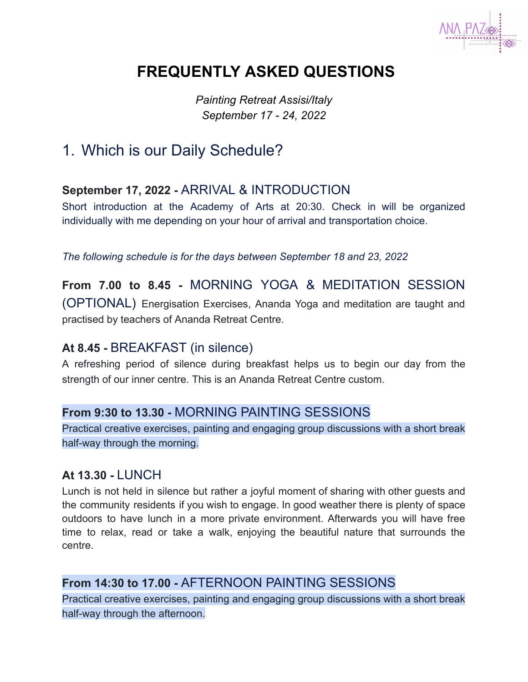

## **FREQUENTLY ASKED QUESTIONS**

*Painting Retreat Assisi/Italy September 17 - 24, 2022*

### 1. Which is our Daily Schedule?

#### **September 17, 2022 -** ARRIVAL & INTRODUCTION

Short introduction at the Academy of Arts at 20:30. Check in will be organized individually with me depending on your hour of arrival and transportation choice.

*The following schedule is for the days between September 18 and 23, 2022*

**From 7.00 to 8.45 -** MORNING YOGA & MEDITATION SESSION (OPTIONAL) Energisation Exercises, Ananda Yoga and meditation are taught and practised by teachers of Ananda Retreat Centre.

#### **At 8.45 -** BREAKFAST (in silence)

A refreshing period of silence during breakfast helps us to begin our day from the strength of our inner centre. This is an Ananda Retreat Centre custom.

#### **From 9:30 to 13.30 -** MORNING PAINTING SESSIONS

Practical creative exercises, painting and engaging group discussions with a short break half-way through the morning.

#### **At 13.30 -** LUNCH

Lunch is not held in silence but rather a joyful moment of sharing with other guests and the community residents if you wish to engage. In good weather there is plenty of space outdoors to have lunch in a more private environment. Afterwards you will have free time to relax, read or take a walk, enjoying the beautiful nature that surrounds the centre.

#### **From 14:30 to 17.00 -** AFTERNOON PAINTING SESSIONS

Practical creative exercises, painting and engaging group discussions with a short break half-way through the afternoon.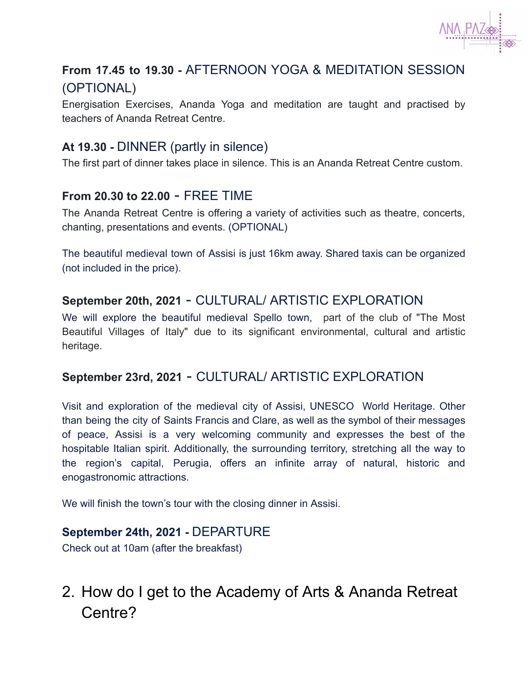

#### **From 17.45 to 19.30 -** AFTERNOON YOGA & MEDITATION SESSION (OPTIONAL)

Energisation Exercises, Ananda Yoga and meditation are taught and practised by teachers of Ananda Retreat Centre.

#### **At 19.30 -** DINNER (partly in silence)

The first part of dinner takes place in silence. This is an Ananda Retreat Centre custom.

#### **From 20.30 to 22.00** - FREE TIME

The Ananda Retreat Centre is offering a variety of activities such as theatre, concerts, chanting, presentations and events. (OPTIONAL)

The beautiful medieval town of Assisi is just 16km away. Shared taxis can be organized (not included in the price).

#### **September 20th, 2021** - CULTURAL/ ARTISTIC EXPLORATION

We will explore the beautiful medieval Spello town, part of the club of "The Most Beautiful Villages of Italy" due to its significant environmental, cultural and artistic heritage.

#### **September 23rd, 2021** - CULTURAL/ ARTISTIC EXPLORATION

Visit and exploration of the medieval city of Assisi, UNESCO World Heritage. Other than being the city of Saints Francis and Clare, as well as the symbol of their messages of peace, Assisi is a very welcoming community and expresses the best of the hospitable Italian spirit. Additionally, the surrounding territory, stretching all the way to the region's capital, Perugia, offers an infinite array of natural, historic and enogastronomic attractions.

We will finish the town's tour with the closing dinner in Assisi.

#### **September 24th, 2021 -** DEPARTURE

Check out at 10am (after the breakfast)

## 2. How do I get to the Academy of Arts & Ananda Retreat Centre?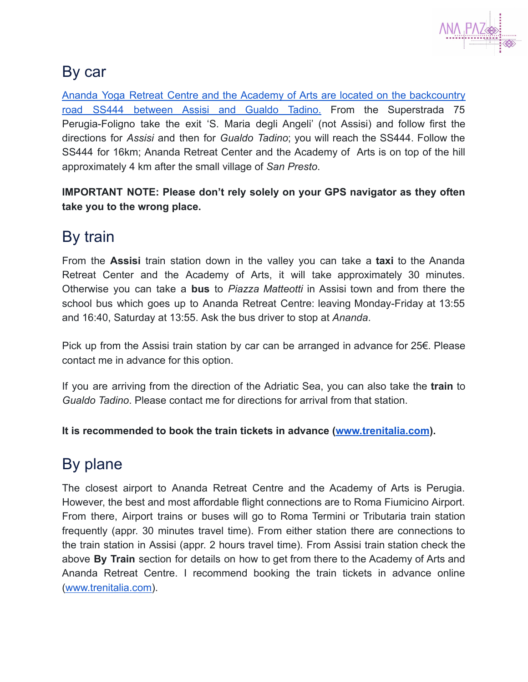

### By car

Ananda Yoga Retreat Centre and the Academy of Arts are located on the [backcountry](https://goo.gl/maps/cXrUjzGrUizL5fDi6) road SS444 [between](https://goo.gl/maps/cXrUjzGrUizL5fDi6) Assisi and Gualdo Tadino. From the Superstrada 75 Perugia-Foligno take the exit 'S. Maria degli Angeli' (not Assisi) and follow first the directions for *Assisi* and then for *Gualdo Tadino*; you will reach the SS444. Follow the SS444 for 16km; Ananda Retreat Center and the Academy of Arts is on top of the hill approximately 4 km after the small village of *San Presto*.

**IMPORTANT NOTE: Please don't rely solely on your GPS navigator as they often take you to the wrong place.**

### By train

From the **Assisi** train station down in the valley you can take a **taxi** to the Ananda Retreat Center and the Academy of Arts, it will take approximately 30 minutes. Otherwise you can take a **bus** to *Piazza Matteotti* in Assisi town and from there the school bus which goes up to Ananda Retreat Centre: leaving Monday-Friday at 13:55 and 16:40, Saturday at 13:55. Ask the bus driver to stop at *Ananda*.

Pick up from the Assisi train station by car can be arranged in advance for 25€. Please contact me in advance for this option.

If you are arriving from the direction of the Adriatic Sea, you can also take the **train** to *Gualdo Tadino*. Please contact me for directions for arrival from that station.

**It is recommended to book the train tickets in advance [\(www.trenitalia.com](http://www.trenitalia.com/)).**

### By plane

The closest airport to Ananda Retreat Centre and the Academy of Arts is Perugia. However, the best and most affordable flight connections are to Roma Fiumicino Airport. From there, Airport trains or buses will go to Roma Termini or Tributaria train station frequently (appr. 30 minutes travel time). From either station there are connections to the train station in Assisi (appr. 2 hours travel time). From Assisi train station check the above **By Train** section for details on how to get from there to the Academy of Arts and Ananda Retreat Centre. I recommend booking the train tickets in advance online ([www.trenitalia.com](http://www.trenitalia.com/)).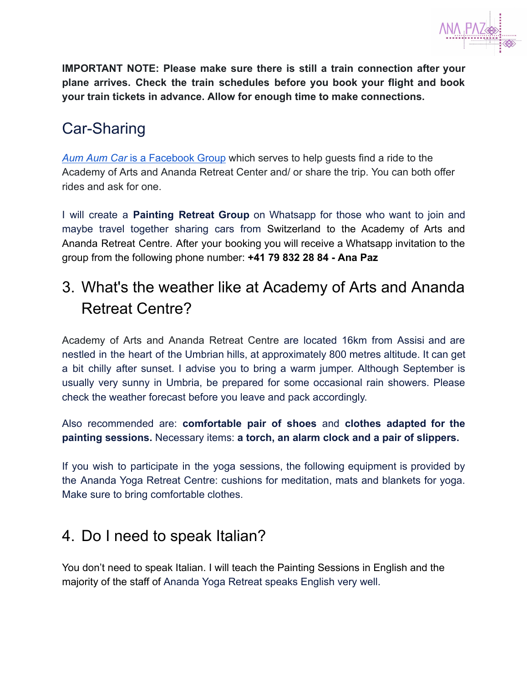

**IMPORTANT NOTE: Please make sure there is still a train connection after your plane arrives. Check the train schedules before you book your flight and book your train tickets in advance. Allow for enough time to make connections.**

### Car-Sharing

*Aum Aum Car* [is a Facebook Group](https://www.facebook.com/groups/795390673848068/?fref=ts) which serves to help guests find a ride to the Academy of Arts and Ananda Retreat Center and/ or share the trip. You can both offer rides and ask for one.

I will create a **Painting Retreat Group** on Whatsapp for those who want to join and maybe travel together sharing cars from Switzerland to the Academy of Arts and Ananda Retreat Centre. After your booking you will receive a Whatsapp invitation to the group from the following phone number: **+41 79 832 28 84 - Ana Paz**

## 3. What's the weather like at Academy of Arts and Ananda Retreat Centre?

Academy of Arts and Ananda Retreat Centre are located 16km from Assisi and are nestled in the heart of the Umbrian hills, at approximately 800 metres altitude. It can get a bit chilly after sunset. I advise you to bring a warm jumper. Although September is usually very sunny in Umbria, be prepared for some occasional rain showers. Please check the weather forecast before you leave and pack accordingly.

Also recommended are: **comfortable pair of shoes** and **clothes adapted for the painting sessions.** Necessary items: **a torch, an alarm clock and a pair of slippers.**

If you wish to participate in the yoga sessions, the following equipment is provided by the Ananda Yoga Retreat Centre: cushions for meditation, mats and blankets for yoga. Make sure to bring comfortable clothes.

### 4. Do I need to speak Italian?

You don't need to speak Italian. I will teach the Painting Sessions in English and the majority of the staff of Ananda Yoga Retreat speaks English very well.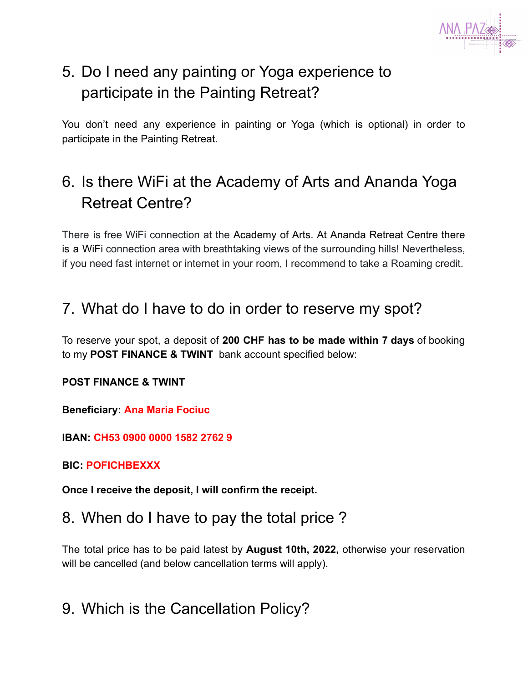

# 5. Do I need any painting or Yoga experience to participate in the Painting Retreat?

You don't need any experience in painting or Yoga (which is optional) in order to participate in the Painting Retreat.

# 6. Is there WiFi at the Academy of Arts and Ananda Yoga Retreat Centre?

There is free WiFi connection at the Academy of Arts. At Ananda Retreat Centre there is a WiFi connection area with breathtaking views of the surrounding hills! Nevertheless, if you need fast internet or internet in your room, I recommend to take a Roaming credit.

### 7. What do I have to do in order to reserve my spot?

To reserve your spot, a deposit of **200 CHF has to be made within 7 days** of booking to my **POST FINANCE & TWINT** bank account specified below:

**POST FINANCE & TWINT**

**Beneficiary: Ana Maria Fociuc**

**IBAN: CH53 0900 0000 1582 2762 9**

**BIC: POFICHBEXXX**

**Once I receive the deposit, I will confirm the receipt.**

8. When do I have to pay the total price ?

The total price has to be paid latest by **August 10th, 2022,** otherwise your reservation will be cancelled (and below cancellation terms will apply).

### 9. Which is the Cancellation Policy?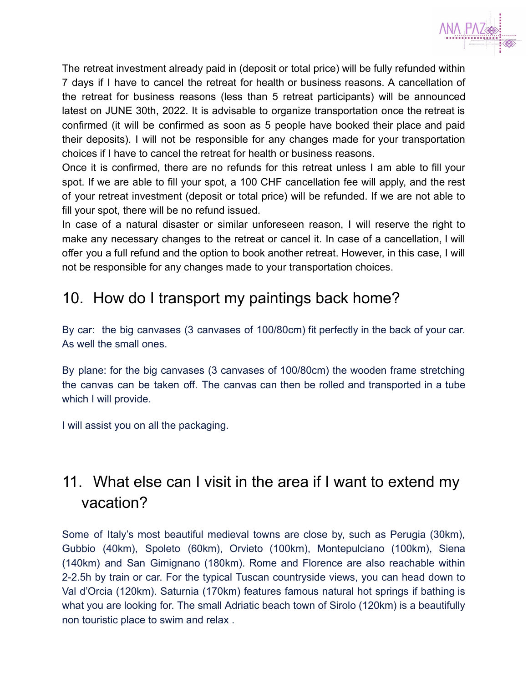

The retreat investment already paid in (deposit or total price) will be fully refunded within 7 days if I have to cancel the retreat for health or business reasons. A cancellation of the retreat for business reasons (less than 5 retreat participants) will be announced latest on JUNE 30th, 2022. It is advisable to organize transportation once the retreat is confirmed (it will be confirmed as soon as 5 people have booked their place and paid their deposits). I will not be responsible for any changes made for your transportation choices if I have to cancel the retreat for health or business reasons.

Once it is confirmed, there are no refunds for this retreat unless I am able to fill your spot. If we are able to fill your spot, a 100 CHF cancellation fee will apply, and the rest of your retreat investment (deposit or total price) will be refunded. If we are not able to fill your spot, there will be no refund issued.

In case of a natural disaster or similar unforeseen reason, I will reserve the right to make any necessary changes to the retreat or cancel it. In case of a cancellation, I will offer you a full refund and the option to book another retreat. However, in this case, I will not be responsible for any changes made to your transportation choices.

### 10. How do I transport my paintings back home?

By car: the big canvases (3 canvases of 100/80cm) fit perfectly in the back of your car. As well the small ones.

By plane: for the big canvases (3 canvases of 100/80cm) the wooden frame stretching the canvas can be taken off. The canvas can then be rolled and transported in a tube which I will provide.

I will assist you on all the packaging.

## 11. What else can I visit in the area if I want to extend my vacation?

Some of Italy's most beautiful medieval towns are close by, such as Perugia (30km), Gubbio (40km), Spoleto (60km), Orvieto (100km), Montepulciano (100km), Siena (140km) and San Gimignano (180km). Rome and Florence are also reachable within 2-2.5h by train or car. For the typical Tuscan countryside views, you can head down to Val d'Orcia (120km). Saturnia (170km) features famous natural hot springs if bathing is what you are looking for. The small Adriatic beach town of Sirolo (120km) is a beautifully non touristic place to swim and relax .